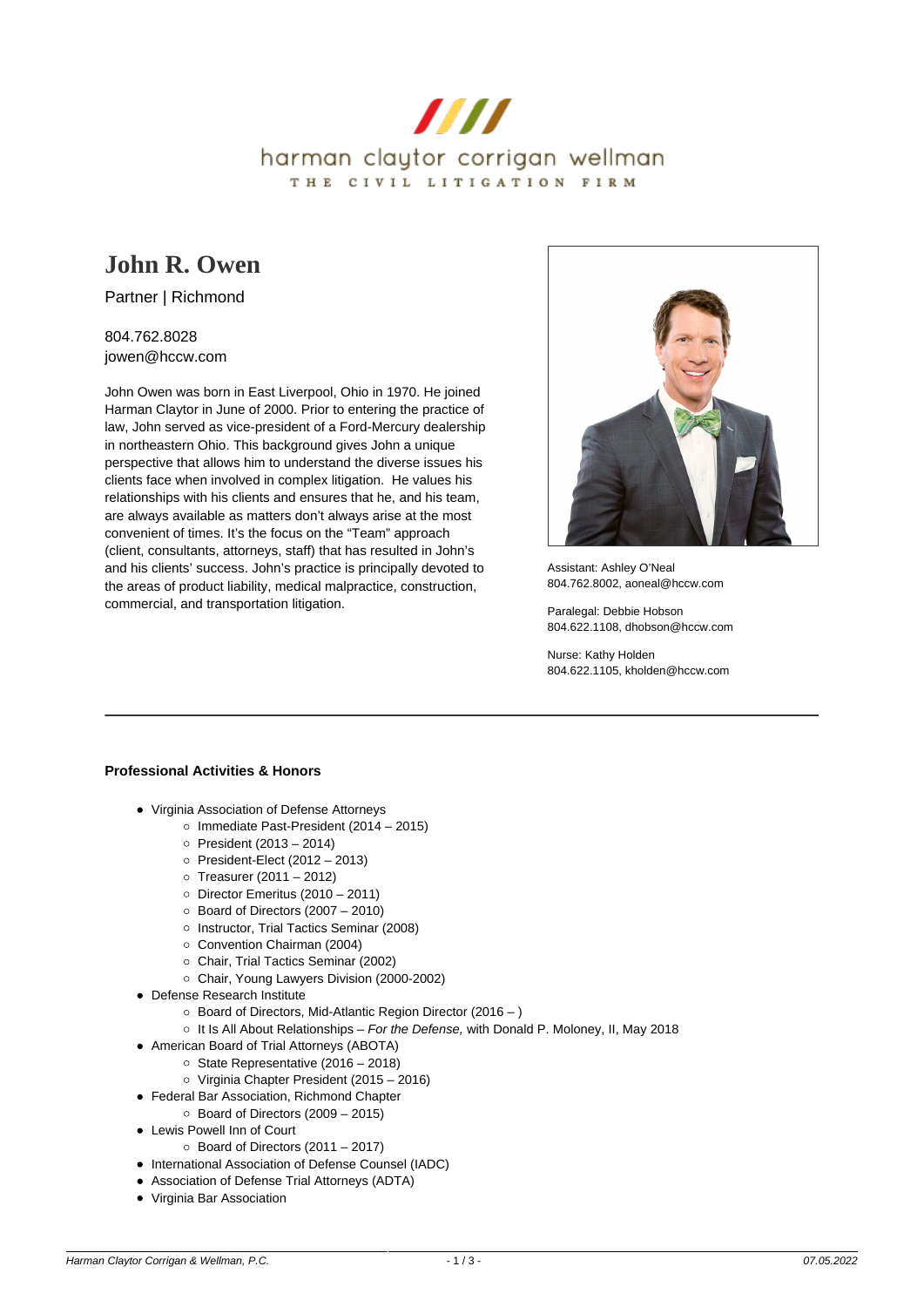

# **[John R. Owen](https://www.hccw.com/attorney/john-r-owen/)**

Partner | Richmond

## 804.762.8028 jowen@hccw.com

John Owen was born in East Liverpool, Ohio in 1970. He joined Harman Claytor in June of 2000. Prior to entering the practice of law, John served as vice-president of a Ford-Mercury dealership in northeastern Ohio. This background gives John a unique perspective that allows him to understand the diverse issues his clients face when involved in complex litigation. He values his relationships with his clients and ensures that he, and his team, are always available as matters don't always arise at the most convenient of times. It's the focus on the "Team" approach (client, consultants, attorneys, staff) that has resulted in John's and his clients' success. John's practice is principally devoted to the areas of product liability, medical malpractice, construction, commercial, and transportation litigation.



Assistant: Ashley O'Neal 804.762.8002, aoneal@hccw.com

Paralegal: Debbie Hobson 804.622.1108, dhobson@hccw.com

Nurse: Kathy Holden 804.622.1105, kholden@hccw.com

## **Professional Activities & Honors**

- Virginia Association of Defense Attorneys
	- $\circ$  Immediate Past-President (2014 2015)
	- $\circ$  President (2013 2014)
	- $\circ$  President-Elect (2012 2013)
	- $\circ$  Treasurer (2011 2012)
	- $\circ$  Director Emeritus (2010 2011)
	- $\circ$  Board of Directors (2007 2010)
	- o Instructor, Trial Tactics Seminar (2008)
	- Convention Chairman (2004)
	- Chair, Trial Tactics Seminar (2002)
	- Chair, Young Lawyers Division (2000-2002)
- Defense Research Institute
	- Board of Directors, Mid-Atlantic Region Director (2016 )
	- $\circ$  It Is All About Relationships For the Defense, with Donald P. Moloney, II, May 2018
- American Board of Trial Attorneys (ABOTA)
	- $\circ$  State Representative (2016 2018)
	- Virginia Chapter President (2015 2016)
- Federal Bar Association, Richmond Chapter
	- $\circ$  Board of Directors (2009 2015)
- Lewis Powell Inn of Court
	- $\circ$  Board of Directors (2011 2017)
- International Association of Defense Counsel (IADC)
- Association of Defense Trial Attorneys (ADTA)
- Virginia Bar Association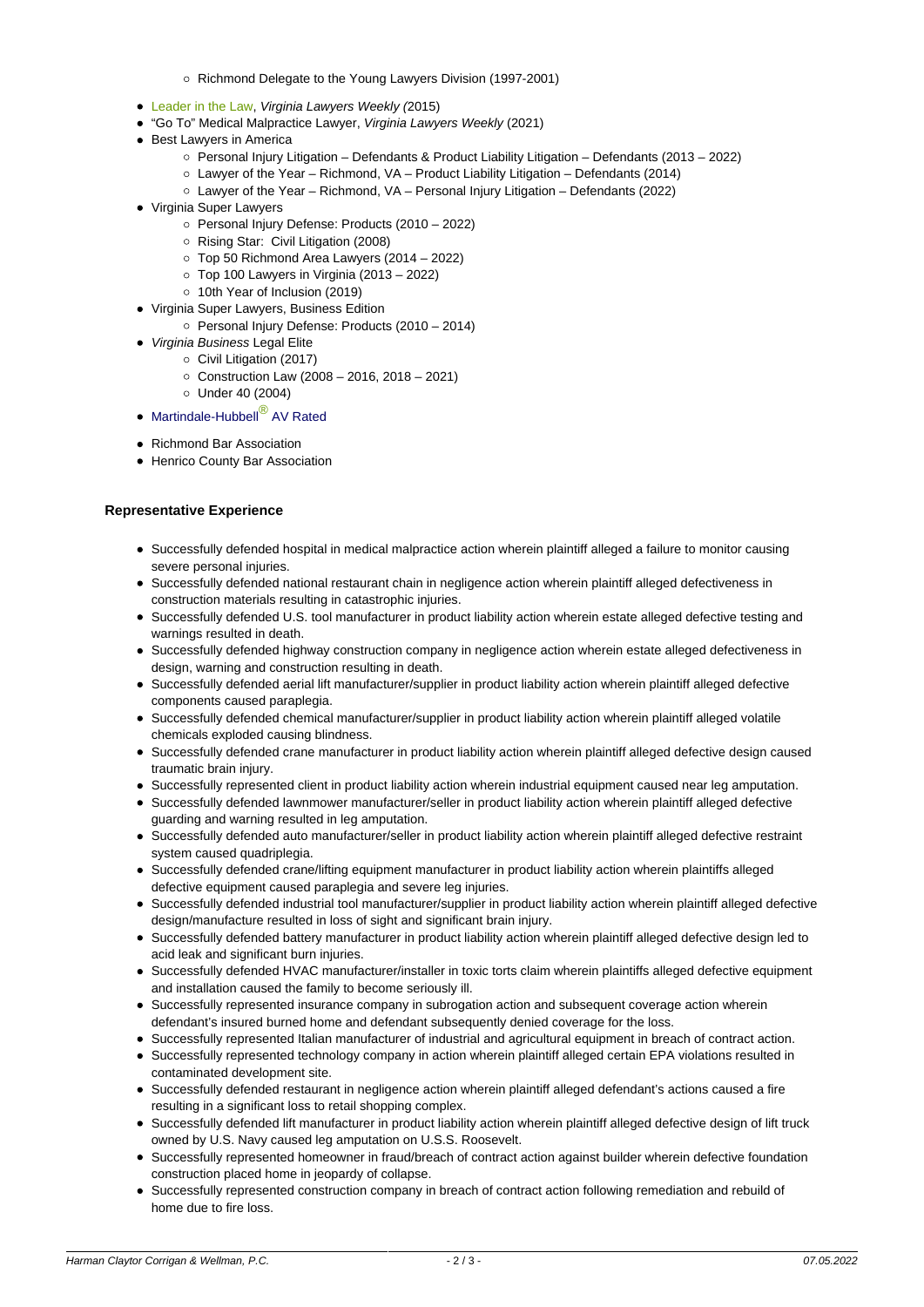- Richmond Delegate to the Young Lawyers Division (1997-2001)
- [Leader in the Law](https://www.hccw.com/blog/congratulations-to-john-r-owen-vlw-leaders-in-the-law-2015/), Virginia Lawyers Weekly (2015)
- "Go To" Medical Malpractice Lawyer, Virginia Lawyers Weekly (2021)
- Best Lawyers in America
	- Personal Injury Litigation Defendants & Product Liability Litigation Defendants (2013 2022)
		- Lawyer of the Year Richmond, VA Product Liability Litigation Defendants (2014)
		- Lawyer of the Year Richmond, VA Personal Injury Litigation Defendants (2022)
- Virginia Super Lawyers
	- Personal Injury Defense: Products (2010 2022)
	- Rising Star: Civil Litigation (2008)
	- Top 50 Richmond Area Lawyers (2014 2022)
	- $\circ$  Top 100 Lawyers in Virginia (2013 2022)
	- 10th Year of Inclusion (2019)
- Virginia Super Lawyers, Business Edition
	- o Personal Injury Defense: Products (2010 2014)
- Virginia Business Legal Elite
	- Civil Litigation (2017)
	- Construction Law (2008 2016, 2018 2021)
	- Under 40 (2004)
- Martindale-Hubbell<sup>®</sup> AV Rated
- Richmond Bar Association
- Henrico County Bar Association

#### **Representative Experience**

- Successfully defended hospital in medical malpractice action wherein plaintiff alleged a failure to monitor causing severe personal injuries.
- Successfully defended national restaurant chain in negligence action wherein plaintiff alleged defectiveness in construction materials resulting in catastrophic injuries.
- Successfully defended U.S. tool manufacturer in product liability action wherein estate alleged defective testing and warnings resulted in death.
- Successfully defended highway construction company in negligence action wherein estate alleged defectiveness in design, warning and construction resulting in death.
- Successfully defended aerial lift manufacturer/supplier in product liability action wherein plaintiff alleged defective components caused paraplegia.
- Successfully defended chemical manufacturer/supplier in product liability action wherein plaintiff alleged volatile chemicals exploded causing blindness.
- Successfully defended crane manufacturer in product liability action wherein plaintiff alleged defective design caused traumatic brain injury.
- Successfully represented client in product liability action wherein industrial equipment caused near leg amputation.
- Successfully defended lawnmower manufacturer/seller in product liability action wherein plaintiff alleged defective guarding and warning resulted in leg amputation.
- Successfully defended auto manufacturer/seller in product liability action wherein plaintiff alleged defective restraint system caused quadriplegia.
- Successfully defended crane/lifting equipment manufacturer in product liability action wherein plaintiffs alleged defective equipment caused paraplegia and severe leg injuries.
- Successfully defended industrial tool manufacturer/supplier in product liability action wherein plaintiff alleged defective design/manufacture resulted in loss of sight and significant brain injury.
- Successfully defended battery manufacturer in product liability action wherein plaintiff alleged defective design led to acid leak and significant burn injuries.
- Successfully defended HVAC manufacturer/installer in toxic torts claim wherein plaintiffs alleged defective equipment and installation caused the family to become seriously ill.
- Successfully represented insurance company in subrogation action and subsequent coverage action wherein defendant's insured burned home and defendant subsequently denied coverage for the loss.
- Successfully represented Italian manufacturer of industrial and agricultural equipment in breach of contract action.
- Successfully represented technology company in action wherein plaintiff alleged certain EPA violations resulted in contaminated development site.
- Successfully defended restaurant in negligence action wherein plaintiff alleged defendant's actions caused a fire resulting in a significant loss to retail shopping complex.
- Successfully defended lift manufacturer in product liability action wherein plaintiff alleged defective design of lift truck owned by U.S. Navy caused leg amputation on U.S.S. Roosevelt.
- Successfully represented homeowner in fraud/breach of contract action against builder wherein defective foundation construction placed home in jeopardy of collapse.
- Successfully represented construction company in breach of contract action following remediation and rebuild of home due to fire loss.